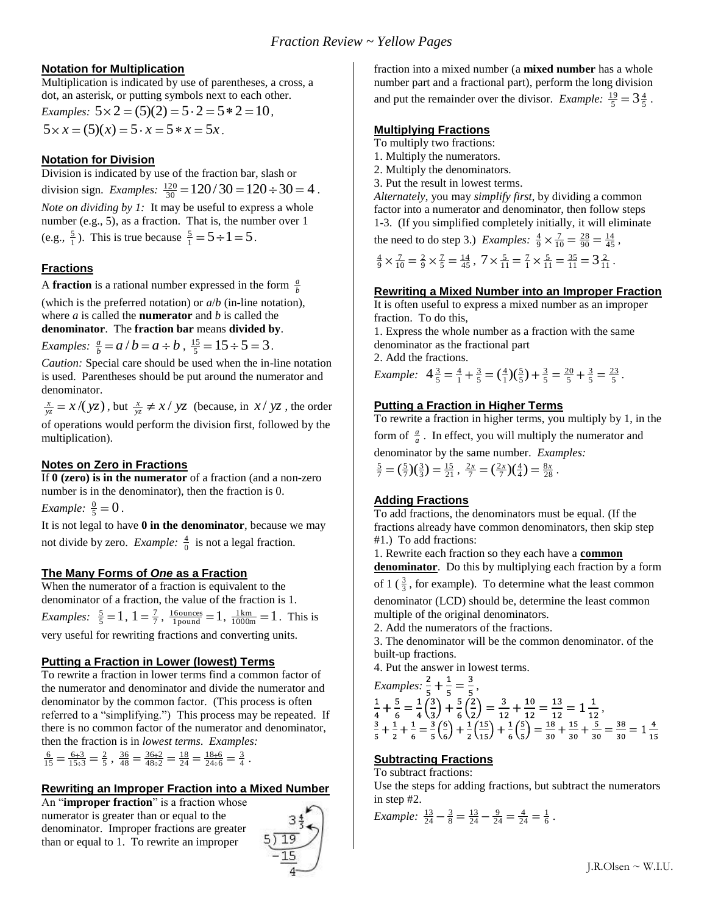## **Notation for Multiplication**

Multiplication is indicated by use of parentheses, a cross, a dot, an asterisk, or putting symbols next to each other.

*Examples:*  $5 \times 2 = (5)(2) = 5 \cdot 2 = 5 * 2 = 10$ ,  $5 \times x = (5)(x) = 5 \cdot x = 5 * x = 5x$ .

## **Notation for Division**

Division is indicated by use of the fraction bar, slash or division sign. *Examples:*  $\frac{120}{30} = 120/30 = 120 \div 30 = 4$ . *Note on dividing by 1:* It may be useful to express a whole number (e.g., 5), as a fraction. That is, the number over 1 (e.g.,  $\frac{5}{1}$ ). This is true because  $\frac{5}{1} = 5 \div 1 = 5$ .

## **Fractions**

A **fraction** is a rational number expressed in the form  $\frac{a}{b}$ 

(which is the preferred notation) or *a*/*b* (in-line notation), where *a* is called the **numerator** and *b* is called the **denominator**. The **fraction bar** means **divided by**.

*Examples:*  $\frac{a}{b} = a/b = a \div b$ ,  $\frac{15}{5} = 15 \div 5 = 3$ .

*Caution:* Special care should be used when the in-line notation is used. Parentheses should be put around the numerator and denominator.

 $\frac{x}{yz} = x/(yz)$ , but  $\frac{x}{yz} \neq x/yz$  (because, in  $x/yz$ , the order of operations would perform the division first, followed by the multiplication).

## **Notes on Zero in Fractions**

If **0 (zero) is in the numerator** of a fraction (and a non-zero number is in the denominator), then the fraction is 0.

*Example:*  $\frac{0}{5} = 0$ .

It is not legal to have **0 in the denominator**, because we may not divide by zero. *Example*:  $\frac{4}{0}$  is not a legal fraction.

## **The Many Forms of** *One* **as a Fraction**

When the numerator of a fraction is equivalent to the denominator of a fraction, the value of the fraction is 1. *Examples:*  $\frac{5}{5} = 1$ ,  $1 = \frac{7}{7}$ ,  $\frac{16\text{ounces}}{1 \text{pound}} = 1$ ,  $\frac{1 \text{km}}{1000 \text{m}} = 1$ . This is very useful for rewriting fractions and converting units.

## **Putting a Fraction in Lower (lowest) Terms**

To rewrite a fraction in lower terms find a common factor of the numerator and denominator and divide the numerator and denominator by the common factor. (This process is often referred to a "simplifying.") This process may be repeated. If there is no common factor of the numerator and denominator, then the fraction is in *lowest terms*. *Examples:*

 $\frac{6}{15} = \frac{6 \div 3}{15 \div 3} = \frac{2}{5}$ ,  $\frac{36}{48} = \frac{36 \div 2}{48 \div 2} = \frac{18}{24} = \frac{18 \div 6}{24 \div 6} = \frac{3}{4}$ .

## **Rewriting an Improper Fraction into a Mixed Number**

An "**improper fraction**" is a fraction whose numerator is greater than or equal to the denominator. Improper fractions are greater than or equal to 1. To rewrite an improper



fraction into a mixed number (a **mixed number** has a whole number part and a fractional part), perform the long division and put the remainder over the divisor. *Example:*  $\frac{19}{5} = 3\frac{4}{5}$ .

### **Multiplying Fractions**

To multiply two fractions:

1. Multiply the numerators.

2. Multiply the denominators.

3. Put the result in lowest terms.

*Alternately*, you may *simplify first*, by dividing a common factor into a numerator and denominator, then follow steps 1-3. (If you simplified completely initially, it will eliminate

the need to do step 3.) *Examples*:  $\frac{4}{9} \times \frac{7}{10} = \frac{28}{90} = \frac{14}{45}$ ,

$$
\frac{4}{9} \times \frac{7}{10} = \frac{2}{9} \times \frac{7}{5} = \frac{14}{45}, 7 \times \frac{5}{11} = \frac{7}{1} \times \frac{5}{11} = \frac{35}{11} = 3\frac{2}{11}.
$$

## **Rewriting a Mixed Number into an Improper Fraction**

It is often useful to express a mixed number as an improper fraction. To do this,

1. Express the whole number as a fraction with the same denominator as the fractional part 2. Add the fractions.

*Example:*  $4\frac{3}{5} = \frac{4}{1} + \frac{3}{5} = (\frac{4}{1})(\frac{5}{5}) + \frac{3}{5} = \frac{20}{5} + \frac{3}{5} = \frac{23}{5}$ .

## **Putting a Fraction in Higher Terms**

To rewrite a fraction in higher terms, you multiply by 1, in the form of  $\frac{a}{a}$ . In effect, you will multiply the numerator and

denominator by the same number. *Examples:* 

$$
\frac{5}{7} = \left(\frac{5}{7}\right)\left(\frac{3}{3}\right) = \frac{15}{21}, \ \frac{2x}{7} = \left(\frac{2x}{7}\right)\left(\frac{4}{4}\right) = \frac{8x}{28}.
$$

# **Adding Fractions**

To add fractions, the denominators must be equal. (If the fractions already have common denominators, then skip step #1.) To add fractions:

1. Rewrite each fraction so they each have a **common denominator**. Do this by multiplying each fraction by a form of 1 ( $\frac{3}{3}$ , for example). To determine what the least common denominator (LCD) should be, determine the least common multiple of the original denominators.

2. Add the numerators of the fractions.

3. The denominator will be the common denominator. of the built-up fractions.

4. Put the answer in lowest terms.

*Examples:*  $\frac{2}{7} + \frac{1}{7} = \frac{3}{7}$ , ,

# **Subtracting Fractions**

To subtract fractions:

Use the steps for adding fractions, but subtract the numerators in step #2.

*Example:*  $\frac{13}{24} - \frac{3}{8} = \frac{13}{24} - \frac{9}{24} = \frac{4}{24} = \frac{1}{6}$ .